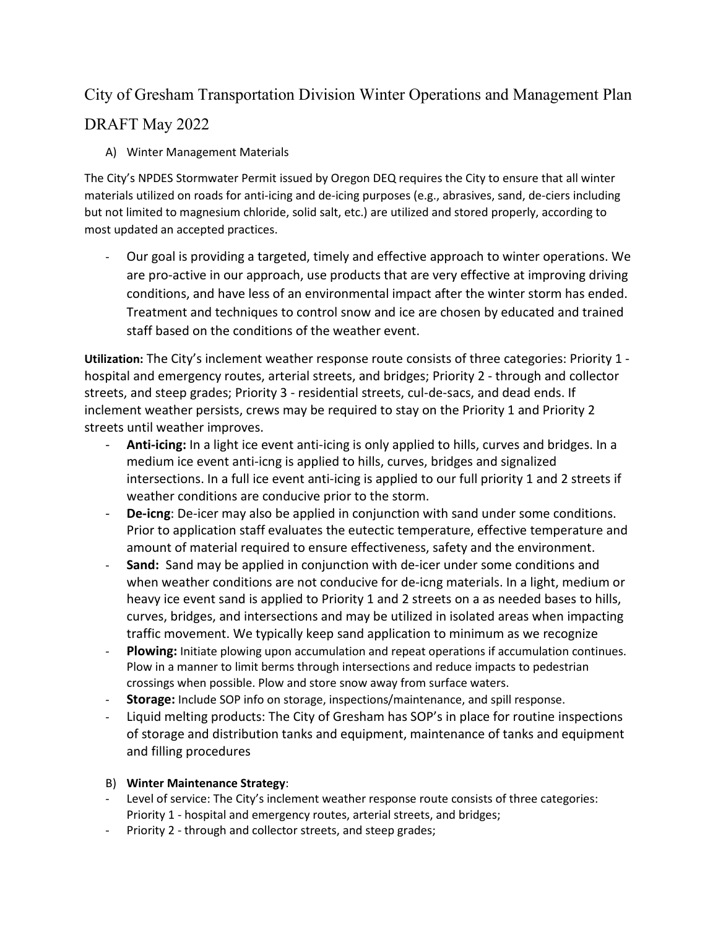## City of Gresham Transportation Division Winter Operations and Management Plan

## DRAFT May 2022

A) Winter Management Materials

The City's NPDES Stormwater Permit issued by Oregon DEQ requires the City to ensure that all winter materials utilized on roads for anti-icing and de-icing purposes (e.g., abrasives, sand, de-ciers including but not limited to magnesium chloride, solid salt, etc.) are utilized and stored properly, according to most updated an accepted practices.

- Our goal is providing a targeted, timely and effective approach to winter operations. We are pro-active in our approach, use products that are very effective at improving driving conditions, and have less of an environmental impact after the winter storm has ended. Treatment and techniques to control snow and ice are chosen by educated and trained staff based on the conditions of the weather event.

**Utilization:** The City's inclement weather response route consists of three categories: Priority 1 hospital and emergency routes, arterial streets, and bridges; Priority 2 - through and collector streets, and steep grades; Priority 3 - residential streets, cul-de-sacs, and dead ends. If inclement weather persists, crews may be required to stay on the Priority 1 and Priority 2 streets until weather improves.

- Anti-icing: In a light ice event anti-icing is only applied to hills, curves and bridges. In a medium ice event anti-icng is applied to hills, curves, bridges and signalized intersections. In a full ice event anti-icing is applied to our full priority 1 and 2 streets if weather conditions are conducive prior to the storm.
- **De-icng**: De-icer may also be applied in conjunction with sand under some conditions. Prior to application staff evaluates the eutectic temperature, effective temperature and amount of material required to ensure effectiveness, safety and the environment.
- **Sand:** Sand may be applied in conjunction with de-icer under some conditions and when weather conditions are not conducive for de-icng materials. In a light, medium or heavy ice event sand is applied to Priority 1 and 2 streets on a as needed bases to hills, curves, bridges, and intersections and may be utilized in isolated areas when impacting traffic movement. We typically keep sand application to minimum as we recognize
- Plowing: Initiate plowing upon accumulation and repeat operations if accumulation continues. Plow in a manner to limit berms through intersections and reduce impacts to pedestrian crossings when possible. Plow and store snow away from surface waters.
- **Storage:** Include SOP info on storage, inspections/maintenance, and spill response.
- Liquid melting products: The City of Gresham has SOP's in place for routine inspections of storage and distribution tanks and equipment, maintenance of tanks and equipment and filling procedures
- B) **Winter Maintenance Strategy**:
- Level of service: The City's inclement weather response route consists of three categories: Priority 1 - hospital and emergency routes, arterial streets, and bridges;
- Priority 2 through and collector streets, and steep grades;